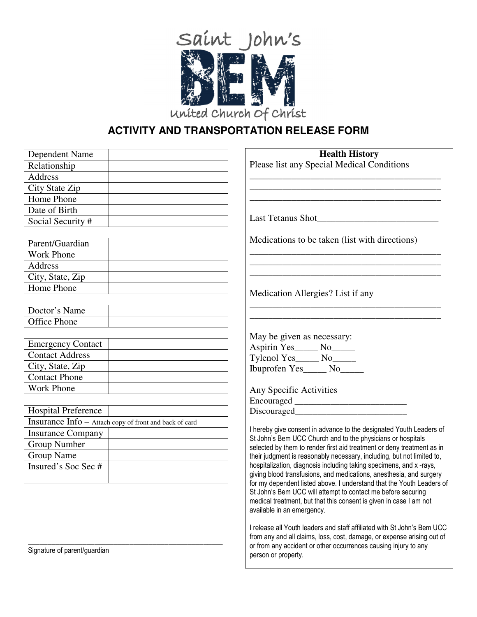

# **ACTIVITY AND TRANSPORTATION RELEASE FORM**

| Dependent Name                                         | <b>Health History</b>                                                                                                                        |
|--------------------------------------------------------|----------------------------------------------------------------------------------------------------------------------------------------------|
| Relationship                                           | Please list any Special Medical Conditions                                                                                                   |
| <b>Address</b>                                         |                                                                                                                                              |
| City State Zip                                         |                                                                                                                                              |
| Home Phone                                             |                                                                                                                                              |
| Date of Birth                                          |                                                                                                                                              |
| Social Security #                                      |                                                                                                                                              |
|                                                        |                                                                                                                                              |
| Parent/Guardian                                        | Medications to be taken (list with directions)                                                                                               |
| <b>Work Phone</b>                                      |                                                                                                                                              |
| Address                                                |                                                                                                                                              |
| City, State, Zip                                       |                                                                                                                                              |
| Home Phone                                             |                                                                                                                                              |
|                                                        | Medication Allergies? List if any                                                                                                            |
| Doctor's Name                                          |                                                                                                                                              |
| <b>Office Phone</b>                                    |                                                                                                                                              |
|                                                        | May be given as necessary:                                                                                                                   |
| <b>Emergency Contact</b>                               | Aspirin Yes_____ No_____                                                                                                                     |
| <b>Contact Address</b>                                 | Tylenol Yes______ No______                                                                                                                   |
| City, State, Zip                                       | Ibuprofen Yes______ No______                                                                                                                 |
| <b>Contact Phone</b>                                   |                                                                                                                                              |
| <b>Work Phone</b>                                      | Any Specific Activities                                                                                                                      |
|                                                        |                                                                                                                                              |
| <b>Hospital Preference</b>                             | Discouraged                                                                                                                                  |
| Insurance Info - Attach copy of front and back of card |                                                                                                                                              |
| <b>Insurance Company</b>                               | I hereby give consent in advance to the designated Youth Leaders of<br>St John's Bem UCC Church and to the physicians or hospitals           |
| Group Number                                           | selected by them to render first aid treatment or deny treatment as in                                                                       |
| <b>Group Name</b>                                      | their judgment is reasonably necessary, including, but not limited to,                                                                       |
| Insured's Soc Sec #                                    | hospitalization, diagnosis including taking specimens, and x-rays,                                                                           |
|                                                        | giving blood transfusions, and medications, anesthesia, and surgery<br>for my dependent listed above. I understand that the Youth Leaders of |
|                                                        | St John's Bem UCC will attempt to contact me before securing                                                                                 |
|                                                        | medical treatment, but that this consent is given in case I am not                                                                           |
|                                                        | available in an emergency.                                                                                                                   |
|                                                        | I release all Youth leaders and staff affiliated with St John's Bem UCC                                                                      |
|                                                        | from any and all claims, loss, cost, damage, or expense arising out of                                                                       |
| Clangture of norontlauguation                          | or from any accident or other occurrences causing injury to any                                                                              |

person or property.

Signature of parent/guardian